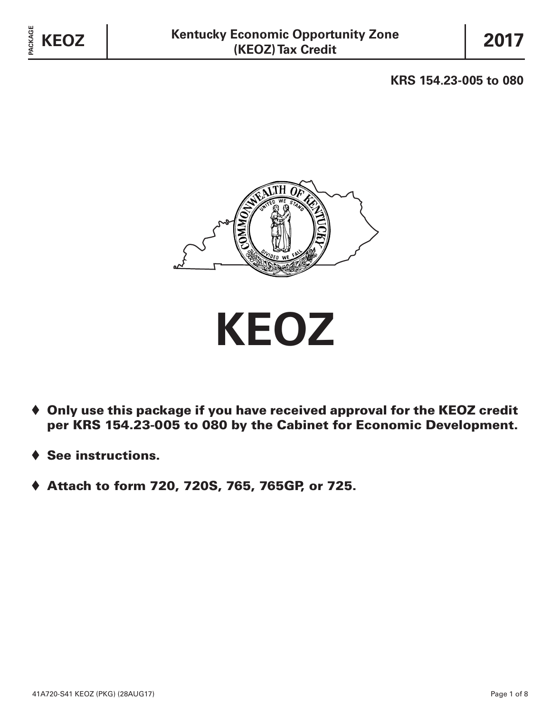**KRS 154.23-005 to 080**



**KEOZ**

- $\blacklozenge$  Only use this package if you have received approval for the KEOZ credit per KRS 154.23-005 to 080 by the Cabinet for Economic Development.
- See instructions.
- ♦ Attach to form 720, 720S, 765, 765GP, or 725.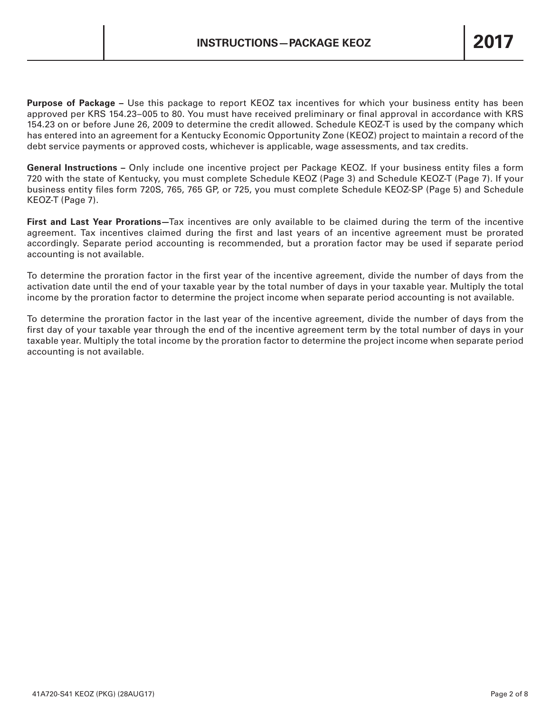**Purpose of Package –** Use this package to report KEOZ tax incentives for which your business entity has been approved per KRS 154.23–005 to 80. You must have received preliminary or final approval in accordance with KRS 154.23 on or before June 26, 2009 to determine the credit allowed. Schedule KEOZ-T is used by the company which has entered into an agreement for a Kentucky Economic Opportunity Zone (KEOZ) project to maintain a record of the debt service payments or approved costs, whichever is applicable, wage assessments, and tax credits.

**General Instructions –** Only include one incentive project per Package KEOZ. If your business entity files a form 720 with the state of Kentucky, you must complete Schedule KEOZ (Page 3) and Schedule KEOZ-T (Page 7). If your business entity files form 720S, 765, 765 GP, or 725, you must complete Schedule KEOZ-SP (Page 5) and Schedule KEOZ-T (Page 7).

**First and Last Year Prorations—**Tax incentives are only available to be claimed during the term of the incentive agreement. Tax incentives claimed during the first and last years of an incentive agreement must be prorated accordingly. Separate period accounting is recommended, but a proration factor may be used if separate period accounting is not available.

To determine the proration factor in the first year of the incentive agreement, divide the number of days from the activation date until the end of your taxable year by the total number of days in your taxable year. Multiply the total income by the proration factor to determine the project income when separate period accounting is not available.

To determine the proration factor in the last year of the incentive agreement, divide the number of days from the first day of your taxable year through the end of the incentive agreement term by the total number of days in your taxable year. Multiply the total income by the proration factor to determine the project income when separate period accounting is not available.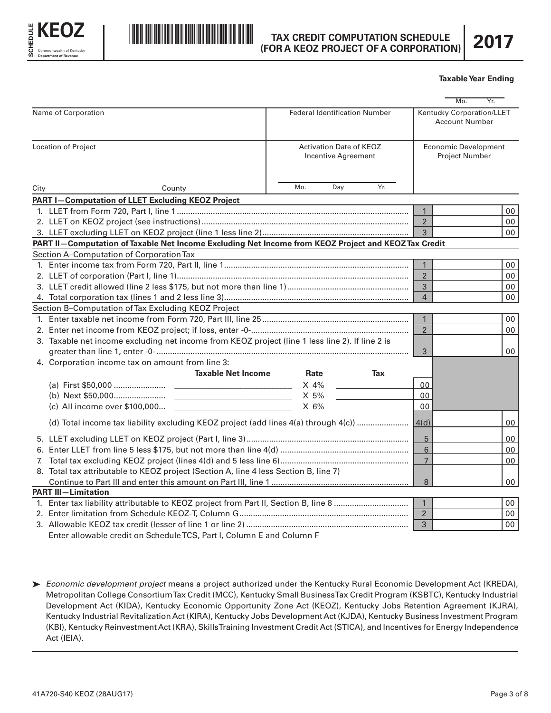



# **TAX CREDIT COMPUTATION SCHEDULE (FOR A KEOZ PROJECT OF A CORPORATION)**

|                     |                                                                                                                                                         |                                                       |     |                | <b>Taxable Year Ending</b>                           |  |
|---------------------|---------------------------------------------------------------------------------------------------------------------------------------------------------|-------------------------------------------------------|-----|----------------|------------------------------------------------------|--|
|                     |                                                                                                                                                         |                                                       |     |                | Mo.<br>Yr.                                           |  |
| Name of Corporation |                                                                                                                                                         | <b>Federal Identification Number</b>                  |     |                | Kentucky Corporation/LLET<br><b>Account Number</b>   |  |
|                     | <b>Location of Project</b>                                                                                                                              | <b>Activation Date of KEOZ</b><br>Incentive Agreement |     |                | <b>Economic Development</b><br><b>Project Number</b> |  |
| City                | County                                                                                                                                                  | Day<br>Mo.                                            | Yr. |                |                                                      |  |
|                     | <b>PART I-Computation of LLET Excluding KEOZ Project</b>                                                                                                |                                                       |     |                |                                                      |  |
|                     |                                                                                                                                                         |                                                       |     | $\mathbf{1}$   | 00                                                   |  |
|                     |                                                                                                                                                         |                                                       |     | $\overline{2}$ | 00                                                   |  |
|                     |                                                                                                                                                         |                                                       |     | 3              | 00 <sup>1</sup>                                      |  |
|                     | PART II-Computation of Taxable Net Income Excluding Net Income from KEOZ Project and KEOZ Tax Credit                                                    |                                                       |     |                |                                                      |  |
|                     | Section A-Computation of Corporation Tax                                                                                                                |                                                       |     |                |                                                      |  |
|                     |                                                                                                                                                         |                                                       |     | $\mathbf{1}$   | 00                                                   |  |
|                     |                                                                                                                                                         | $\overline{2}$                                        | 00  |                |                                                      |  |
|                     |                                                                                                                                                         | 3<br>$\overline{4}$                                   | 00  |                |                                                      |  |
|                     |                                                                                                                                                         |                                                       |     |                | 00                                                   |  |
|                     | Section B-Computation of Tax Excluding KEOZ Project                                                                                                     |                                                       |     |                |                                                      |  |
|                     |                                                                                                                                                         |                                                       |     | $\mathbf{1}$   | 00                                                   |  |
|                     |                                                                                                                                                         | $\overline{2}$                                        | 00  |                |                                                      |  |
|                     | 3. Taxable net income excluding net income from KEOZ project (line 1 less line 2). If line 2 is                                                         |                                                       |     |                |                                                      |  |
|                     |                                                                                                                                                         |                                                       |     | 3              | 00                                                   |  |
|                     | 4. Corporation income tax on amount from line 3:                                                                                                        |                                                       |     |                |                                                      |  |
|                     | <b>Taxable Net Income</b>                                                                                                                               | Rate                                                  | Tax |                |                                                      |  |
|                     |                                                                                                                                                         | $X$ 4%                                                |     | 00             |                                                      |  |
|                     |                                                                                                                                                         | X 5%                                                  |     | 00             |                                                      |  |
|                     | (c) All income over \$100,000<br><u> Alexandria (Carlo Carlo Carlo Carlo Carlo Carlo Carlo Carlo Carlo Carlo Carlo Carlo Carlo Carlo Carlo Carlo Ca</u> | $X$ 6%                                                |     | 00             |                                                      |  |
|                     | (d) Total income tax liability excluding KEOZ project (add lines 4(a) through 4(c))  [4(d)                                                              |                                                       |     |                | 00                                                   |  |
|                     |                                                                                                                                                         |                                                       |     | 5              | 00                                                   |  |
|                     |                                                                                                                                                         |                                                       |     | $\,6\,$        | 00                                                   |  |
|                     |                                                                                                                                                         | $\overline{7}$                                        | 00  |                |                                                      |  |
|                     | 8. Total tax attributable to KEOZ project (Section A, line 4 less Section B, line 7)                                                                    |                                                       |     |                |                                                      |  |
|                     |                                                                                                                                                         |                                                       |     | 8              | 00                                                   |  |
|                     | <b>PART III-Limitation</b>                                                                                                                              |                                                       |     |                |                                                      |  |
|                     |                                                                                                                                                         |                                                       |     | $\mathbf{1}$   | 00                                                   |  |
|                     |                                                                                                                                                         |                                                       |     | $\overline{2}$ | 00                                                   |  |
|                     |                                                                                                                                                         |                                                       |     | 3              | 00                                                   |  |
|                     | $[$ ntor elleweble eredit en Cebedule $TCC$ , Dert L. Celumn $[$ and Celumn $[$                                                                         |                                                       |     |                |                                                      |  |

Enter allowable credit on Schedule TCS, Part I, Column E and Column F

ä *Economic development project* means a project authorized under the Kentucky Rural Economic Development Act (KREDA), Metropolitan College Consortium Tax Credit (MCC), Kentucky Small Business Tax Credit Program (KSBTC), Kentucky Industrial Development Act (KIDA), Kentucky Economic Opportunity Zone Act (KEOZ), Kentucky Jobs Retention Agreement (KJRA), Kentucky Industrial Revitalization Act (KIRA), Kentucky Jobs Development Act (KJDA), Kentucky Business Investment Program (KBI), Kentucky Reinvestment Act (KRA), Skills Training Investment Credit Act (STICA), and Incentives for Energy Independence Act (IEIA).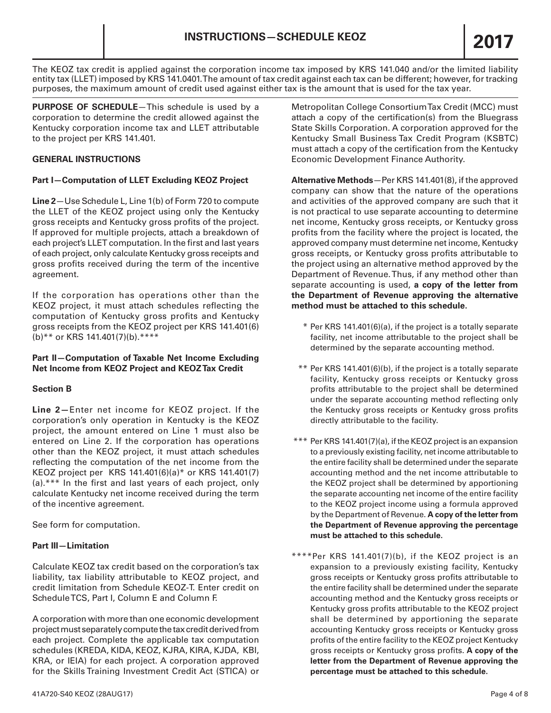The KEOZ tax credit is applied against the corporation income tax imposed by KRS 141.040 and/or the limited liability entity tax (LLET) imposed by KRS 141.0401. The amount of tax credit against each tax can be different; however, for tracking purposes, the maximum amount of credit used against either tax is the amount that is used for the tax year.

**PURPOSE OF SCHEDULE**—This schedule is used by a corporation to determine the credit allowed against the Kentucky corporation income tax and LLET attributable to the project per KRS 141.401.

### **GENERAL INSTRUCTIONS**

### **Part I—Computation of LLET Excluding KEOZ Project**

**Line 2**—Use Schedule L, Line 1(b) of Form 720 to compute the LLET of the KEOZ project using only the Kentucky gross receipts and Kentucky gross profits of the project. If approved for multiple projects, attach a breakdown of each project's LLET computation. In the first and last years of each project, only calculate Kentucky gross receipts and gross profits received during the term of the incentive agreement.

If the corporation has operations other than the KEOZ project, it must attach schedules reflecting the computation of Kentucky gross profits and Kentucky gross receipts from the KEOZ project per KRS 141.401(6) (b)\*\* or KRS 141.401(7)(b).\*\*\*\*

### **Part II—Computation of Taxable Net Income Excluding Net Income from KEOZ Project and KEOZ Tax Credit**

## **Section B**

**Line 2—**Enter net income for KEOZ project. If the corporation's only operation in Kentucky is the KEOZ project, the amount entered on Line 1 must also be entered on Line 2. If the corporation has operations other than the KEOZ project, it must attach schedules reflecting the computation of the net income from the KEOZ project per KRS 141.401(6)(a)\* or KRS 141.401(7) (a).\*\*\* In the first and last years of each project, only calculate Kentucky net income received during the term of the incentive agreement.

See form for computation.

#### **Part III—Limitation**

Calculate KEOZ tax credit based on the corporation's tax liability, tax liability attributable to KEOZ project, and credit limitation from Schedule KEOZ-T. Enter credit on Schedule TCS, Part I, Column E and Column F.

A corporation with more than one economic development project must separately compute the tax credit derived from each project. Complete the applicable tax computation schedules (KREDA, KIDA, KEOZ, KJRA, KIRA, KJDA, KBI, KRA, or IEIA) for each project. A corporation approved for the Skills Training Investment Credit Act (STICA) or

Metropolitan College Consortium Tax Credit (MCC) must attach a copy of the certification(s) from the Bluegrass State Skills Corporation. A corporation approved for the Kentucky Small Business Tax Credit Program (KSBTC) must attach a copy of the certification from the Kentucky Economic Development Finance Authority.

**Alternative Methods**—Per KRS 141.401(8), if the approved company can show that the nature of the operations and activities of the approved company are such that it is not practical to use separate accounting to determine net income, Kentucky gross receipts, or Kentucky gross profits from the facility where the project is located, the approved company must determine net income, Kentucky gross receipts, or Kentucky gross profits attributable to the project using an alternative method approved by the Department of Revenue. Thus, if any method other than separate accounting is used, **a copy of the letter from the Department of Revenue approving the alternative method must be attached to this schedule.**

- \* Per KRS 141.401(6)(a), if the project is a totally separate facility, net income attributable to the project shall be determined by the separate accounting method.
- \*\* Per KRS 141.401(6)(b), if the project is a totally separate facility, Kentucky gross receipts or Kentucky gross profits attributable to the project shall be determined under the separate accounting method reflecting only the Kentucky gross receipts or Kentucky gross profits directly attributable to the facility.
- \*\*\* Per KRS 141.401(7)(a), if the KEOZ project is an expansion to a previously existing facility, net income attributable to the entire facility shall be determined under the separate accounting method and the net income attributable to the KEOZ project shall be determined by apportioning the separate accounting net income of the entire facility to the KEOZ project income using a formula approved by the Department of Revenue. **A copy of the letter from the Department of Revenue approving the percentage must be attached to this schedule.**
- \*\*\*\*Per KRS 141.401(7)(b), if the KEOZ project is an expansion to a previously existing facility, Kentucky gross receipts or Kentucky gross profits attributable to the entire facility shall be determined under the separate accounting method and the Kentucky gross receipts or Kentucky gross profits attributable to the KEOZ project shall be determined by apportioning the separate accounting Kentucky gross receipts or Kentucky gross profits of the entire facility to the KEOZ project Kentucky gross receipts or Kentucky gross profits. **A copy of the letter from the Department of Revenue approving the percentage must be attached to this schedule.**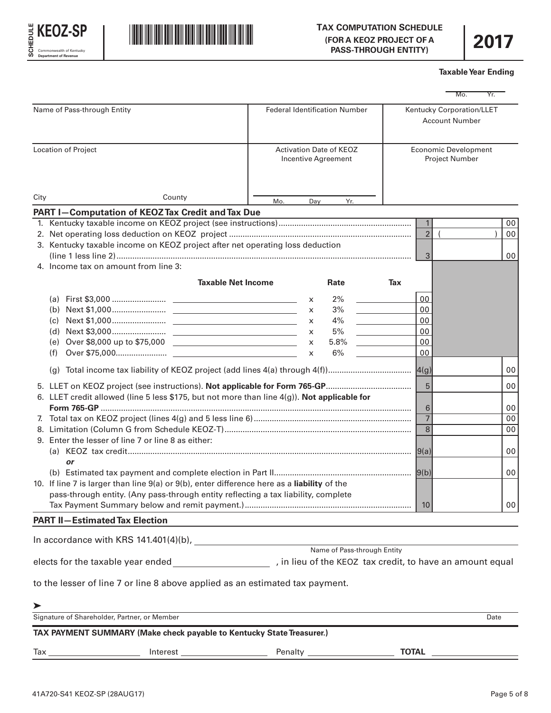



| Mo.<br>Yr.<br>Kentucky Corporation/LLET<br>Name of Pass-through Entity<br><b>Federal Identification Number</b><br><b>Account Number</b><br>Location of Project<br><b>Activation Date of KEOZ</b><br><b>Economic Development</b><br>Incentive Agreement<br><b>Project Number</b><br>County<br>City<br>Mo.<br>Yr.<br>Day<br>PART I-Computation of KEOZ Tax Credit and Tax Due<br>1<br>00<br>$\overline{2}$<br>$\overline{ }$<br>00<br>3. Kentucky taxable income on KEOZ project after net operating loss deduction<br>$\mathbf{3}$<br>00<br>4. Income tax on amount from line 3:<br><b>Taxable Net Income</b><br>Tax<br>Rate<br>2%<br>00<br>X<br>00<br>3%<br>$\mathsf{x}$<br>4%<br>00<br>X<br>5%<br>00<br>$\mathsf{x}$<br>5.8%<br>00<br>$\mathsf{x}$<br>6%<br>00<br>(f)<br>$\mathsf{x}$<br>00<br>(q)<br>5<br>00<br>6. LLET credit allowed (line 5 less \$175, but not more than line $4(g)$ ). Not applicable for<br>6<br>00<br>$\overline{7}$<br>00<br>8<br>00<br>9. Enter the lesser of line 7 or line 8 as either:<br>00<br> 9(a) <br>or<br>9(b)<br>$00\,$<br>10. If line 7 is larger than line $9(a)$ or $9(b)$ , enter difference here as a liability of the<br>pass-through entity. (Any pass-through entity reflecting a tax liability, complete<br>10 <sup>1</sup><br>00<br><b>PART II-Estimated Tax Election</b><br>to the lesser of line 7 or line 8 above applied as an estimated tax payment.<br>⋗<br><u> 1989 - Johann Barbara, martxa alemaniar arg</u><br>Signature of Shareholder, Partner, or Member<br>Date<br>TAX PAYMENT SUMMARY (Make check payable to Kentucky State Treasurer.) |  |  |  |  | <b>Taxable Year Ending</b> |  |
|-------------------------------------------------------------------------------------------------------------------------------------------------------------------------------------------------------------------------------------------------------------------------------------------------------------------------------------------------------------------------------------------------------------------------------------------------------------------------------------------------------------------------------------------------------------------------------------------------------------------------------------------------------------------------------------------------------------------------------------------------------------------------------------------------------------------------------------------------------------------------------------------------------------------------------------------------------------------------------------------------------------------------------------------------------------------------------------------------------------------------------------------------------------------------------------------------------------------------------------------------------------------------------------------------------------------------------------------------------------------------------------------------------------------------------------------------------------------------------------------------------------------------------------------------------------------------------------------------------|--|--|--|--|----------------------------|--|
|                                                                                                                                                                                                                                                                                                                                                                                                                                                                                                                                                                                                                                                                                                                                                                                                                                                                                                                                                                                                                                                                                                                                                                                                                                                                                                                                                                                                                                                                                                                                                                                                       |  |  |  |  |                            |  |
|                                                                                                                                                                                                                                                                                                                                                                                                                                                                                                                                                                                                                                                                                                                                                                                                                                                                                                                                                                                                                                                                                                                                                                                                                                                                                                                                                                                                                                                                                                                                                                                                       |  |  |  |  |                            |  |
|                                                                                                                                                                                                                                                                                                                                                                                                                                                                                                                                                                                                                                                                                                                                                                                                                                                                                                                                                                                                                                                                                                                                                                                                                                                                                                                                                                                                                                                                                                                                                                                                       |  |  |  |  |                            |  |
|                                                                                                                                                                                                                                                                                                                                                                                                                                                                                                                                                                                                                                                                                                                                                                                                                                                                                                                                                                                                                                                                                                                                                                                                                                                                                                                                                                                                                                                                                                                                                                                                       |  |  |  |  |                            |  |
|                                                                                                                                                                                                                                                                                                                                                                                                                                                                                                                                                                                                                                                                                                                                                                                                                                                                                                                                                                                                                                                                                                                                                                                                                                                                                                                                                                                                                                                                                                                                                                                                       |  |  |  |  |                            |  |
|                                                                                                                                                                                                                                                                                                                                                                                                                                                                                                                                                                                                                                                                                                                                                                                                                                                                                                                                                                                                                                                                                                                                                                                                                                                                                                                                                                                                                                                                                                                                                                                                       |  |  |  |  |                            |  |
|                                                                                                                                                                                                                                                                                                                                                                                                                                                                                                                                                                                                                                                                                                                                                                                                                                                                                                                                                                                                                                                                                                                                                                                                                                                                                                                                                                                                                                                                                                                                                                                                       |  |  |  |  |                            |  |
|                                                                                                                                                                                                                                                                                                                                                                                                                                                                                                                                                                                                                                                                                                                                                                                                                                                                                                                                                                                                                                                                                                                                                                                                                                                                                                                                                                                                                                                                                                                                                                                                       |  |  |  |  |                            |  |
|                                                                                                                                                                                                                                                                                                                                                                                                                                                                                                                                                                                                                                                                                                                                                                                                                                                                                                                                                                                                                                                                                                                                                                                                                                                                                                                                                                                                                                                                                                                                                                                                       |  |  |  |  |                            |  |
|                                                                                                                                                                                                                                                                                                                                                                                                                                                                                                                                                                                                                                                                                                                                                                                                                                                                                                                                                                                                                                                                                                                                                                                                                                                                                                                                                                                                                                                                                                                                                                                                       |  |  |  |  |                            |  |
|                                                                                                                                                                                                                                                                                                                                                                                                                                                                                                                                                                                                                                                                                                                                                                                                                                                                                                                                                                                                                                                                                                                                                                                                                                                                                                                                                                                                                                                                                                                                                                                                       |  |  |  |  |                            |  |
|                                                                                                                                                                                                                                                                                                                                                                                                                                                                                                                                                                                                                                                                                                                                                                                                                                                                                                                                                                                                                                                                                                                                                                                                                                                                                                                                                                                                                                                                                                                                                                                                       |  |  |  |  |                            |  |
|                                                                                                                                                                                                                                                                                                                                                                                                                                                                                                                                                                                                                                                                                                                                                                                                                                                                                                                                                                                                                                                                                                                                                                                                                                                                                                                                                                                                                                                                                                                                                                                                       |  |  |  |  |                            |  |
|                                                                                                                                                                                                                                                                                                                                                                                                                                                                                                                                                                                                                                                                                                                                                                                                                                                                                                                                                                                                                                                                                                                                                                                                                                                                                                                                                                                                                                                                                                                                                                                                       |  |  |  |  |                            |  |
|                                                                                                                                                                                                                                                                                                                                                                                                                                                                                                                                                                                                                                                                                                                                                                                                                                                                                                                                                                                                                                                                                                                                                                                                                                                                                                                                                                                                                                                                                                                                                                                                       |  |  |  |  |                            |  |
|                                                                                                                                                                                                                                                                                                                                                                                                                                                                                                                                                                                                                                                                                                                                                                                                                                                                                                                                                                                                                                                                                                                                                                                                                                                                                                                                                                                                                                                                                                                                                                                                       |  |  |  |  |                            |  |
|                                                                                                                                                                                                                                                                                                                                                                                                                                                                                                                                                                                                                                                                                                                                                                                                                                                                                                                                                                                                                                                                                                                                                                                                                                                                                                                                                                                                                                                                                                                                                                                                       |  |  |  |  |                            |  |
|                                                                                                                                                                                                                                                                                                                                                                                                                                                                                                                                                                                                                                                                                                                                                                                                                                                                                                                                                                                                                                                                                                                                                                                                                                                                                                                                                                                                                                                                                                                                                                                                       |  |  |  |  |                            |  |
|                                                                                                                                                                                                                                                                                                                                                                                                                                                                                                                                                                                                                                                                                                                                                                                                                                                                                                                                                                                                                                                                                                                                                                                                                                                                                                                                                                                                                                                                                                                                                                                                       |  |  |  |  |                            |  |
|                                                                                                                                                                                                                                                                                                                                                                                                                                                                                                                                                                                                                                                                                                                                                                                                                                                                                                                                                                                                                                                                                                                                                                                                                                                                                                                                                                                                                                                                                                                                                                                                       |  |  |  |  |                            |  |
|                                                                                                                                                                                                                                                                                                                                                                                                                                                                                                                                                                                                                                                                                                                                                                                                                                                                                                                                                                                                                                                                                                                                                                                                                                                                                                                                                                                                                                                                                                                                                                                                       |  |  |  |  |                            |  |
|                                                                                                                                                                                                                                                                                                                                                                                                                                                                                                                                                                                                                                                                                                                                                                                                                                                                                                                                                                                                                                                                                                                                                                                                                                                                                                                                                                                                                                                                                                                                                                                                       |  |  |  |  |                            |  |
|                                                                                                                                                                                                                                                                                                                                                                                                                                                                                                                                                                                                                                                                                                                                                                                                                                                                                                                                                                                                                                                                                                                                                                                                                                                                                                                                                                                                                                                                                                                                                                                                       |  |  |  |  |                            |  |
|                                                                                                                                                                                                                                                                                                                                                                                                                                                                                                                                                                                                                                                                                                                                                                                                                                                                                                                                                                                                                                                                                                                                                                                                                                                                                                                                                                                                                                                                                                                                                                                                       |  |  |  |  |                            |  |
|                                                                                                                                                                                                                                                                                                                                                                                                                                                                                                                                                                                                                                                                                                                                                                                                                                                                                                                                                                                                                                                                                                                                                                                                                                                                                                                                                                                                                                                                                                                                                                                                       |  |  |  |  |                            |  |
|                                                                                                                                                                                                                                                                                                                                                                                                                                                                                                                                                                                                                                                                                                                                                                                                                                                                                                                                                                                                                                                                                                                                                                                                                                                                                                                                                                                                                                                                                                                                                                                                       |  |  |  |  |                            |  |
|                                                                                                                                                                                                                                                                                                                                                                                                                                                                                                                                                                                                                                                                                                                                                                                                                                                                                                                                                                                                                                                                                                                                                                                                                                                                                                                                                                                                                                                                                                                                                                                                       |  |  |  |  |                            |  |
|                                                                                                                                                                                                                                                                                                                                                                                                                                                                                                                                                                                                                                                                                                                                                                                                                                                                                                                                                                                                                                                                                                                                                                                                                                                                                                                                                                                                                                                                                                                                                                                                       |  |  |  |  |                            |  |
|                                                                                                                                                                                                                                                                                                                                                                                                                                                                                                                                                                                                                                                                                                                                                                                                                                                                                                                                                                                                                                                                                                                                                                                                                                                                                                                                                                                                                                                                                                                                                                                                       |  |  |  |  |                            |  |
|                                                                                                                                                                                                                                                                                                                                                                                                                                                                                                                                                                                                                                                                                                                                                                                                                                                                                                                                                                                                                                                                                                                                                                                                                                                                                                                                                                                                                                                                                                                                                                                                       |  |  |  |  |                            |  |
|                                                                                                                                                                                                                                                                                                                                                                                                                                                                                                                                                                                                                                                                                                                                                                                                                                                                                                                                                                                                                                                                                                                                                                                                                                                                                                                                                                                                                                                                                                                                                                                                       |  |  |  |  |                            |  |
|                                                                                                                                                                                                                                                                                                                                                                                                                                                                                                                                                                                                                                                                                                                                                                                                                                                                                                                                                                                                                                                                                                                                                                                                                                                                                                                                                                                                                                                                                                                                                                                                       |  |  |  |  |                            |  |
|                                                                                                                                                                                                                                                                                                                                                                                                                                                                                                                                                                                                                                                                                                                                                                                                                                                                                                                                                                                                                                                                                                                                                                                                                                                                                                                                                                                                                                                                                                                                                                                                       |  |  |  |  |                            |  |
|                                                                                                                                                                                                                                                                                                                                                                                                                                                                                                                                                                                                                                                                                                                                                                                                                                                                                                                                                                                                                                                                                                                                                                                                                                                                                                                                                                                                                                                                                                                                                                                                       |  |  |  |  |                            |  |
|                                                                                                                                                                                                                                                                                                                                                                                                                                                                                                                                                                                                                                                                                                                                                                                                                                                                                                                                                                                                                                                                                                                                                                                                                                                                                                                                                                                                                                                                                                                                                                                                       |  |  |  |  |                            |  |
|                                                                                                                                                                                                                                                                                                                                                                                                                                                                                                                                                                                                                                                                                                                                                                                                                                                                                                                                                                                                                                                                                                                                                                                                                                                                                                                                                                                                                                                                                                                                                                                                       |  |  |  |  |                            |  |
|                                                                                                                                                                                                                                                                                                                                                                                                                                                                                                                                                                                                                                                                                                                                                                                                                                                                                                                                                                                                                                                                                                                                                                                                                                                                                                                                                                                                                                                                                                                                                                                                       |  |  |  |  |                            |  |
|                                                                                                                                                                                                                                                                                                                                                                                                                                                                                                                                                                                                                                                                                                                                                                                                                                                                                                                                                                                                                                                                                                                                                                                                                                                                                                                                                                                                                                                                                                                                                                                                       |  |  |  |  |                            |  |
|                                                                                                                                                                                                                                                                                                                                                                                                                                                                                                                                                                                                                                                                                                                                                                                                                                                                                                                                                                                                                                                                                                                                                                                                                                                                                                                                                                                                                                                                                                                                                                                                       |  |  |  |  |                            |  |
|                                                                                                                                                                                                                                                                                                                                                                                                                                                                                                                                                                                                                                                                                                                                                                                                                                                                                                                                                                                                                                                                                                                                                                                                                                                                                                                                                                                                                                                                                                                                                                                                       |  |  |  |  |                            |  |
|                                                                                                                                                                                                                                                                                                                                                                                                                                                                                                                                                                                                                                                                                                                                                                                                                                                                                                                                                                                                                                                                                                                                                                                                                                                                                                                                                                                                                                                                                                                                                                                                       |  |  |  |  |                            |  |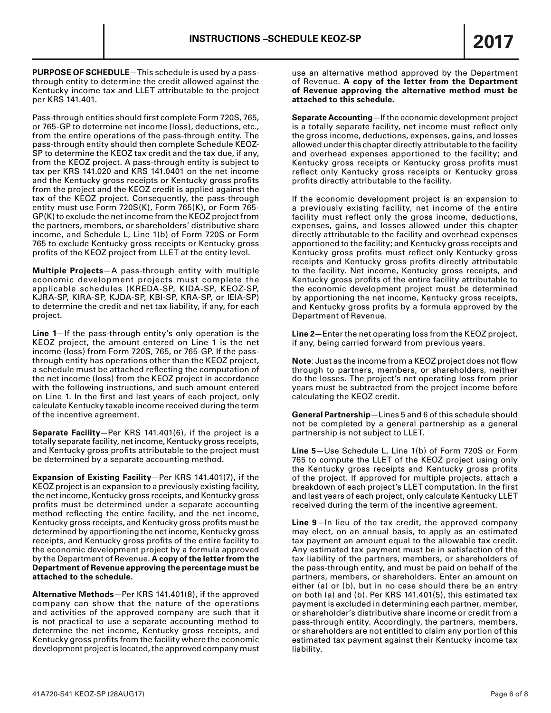**PURPOSE OF SCHEDULE**—This schedule is used by a passthrough entity to determine the credit allowed against the Kentucky income tax and LLET attributable to the project per KRS 141.401.

Pass-through entities should first complete Form 720S, 765, or 765-GP to determine net income (loss), deductions, etc., from the entire operations of the pass-through entity. The pass-through entity should then complete Schedule KEOZ-SP to determine the KEOZ tax credit and the tax due, if any, from the KEOZ project. A pass-through entity is subject to tax per KRS 141.020 and KRS 141.0401 on the net income and the Kentucky gross receipts or Kentucky gross profits from the project and the KEOZ credit is applied against the tax of the KEOZ project. Consequently, the pass-through entity must use Form 720S(K), Form 765(K), or Form 765- GP(K) to exclude the net income from the KEOZ project from the partners, members, or shareholders' distributive share income, and Schedule L, Line 1(b) of Form 720S or Form 765 to exclude Kentucky gross receipts or Kentucky gross profits of the KEOZ project from LLET at the entity level.

**Multiple Projects**—A pass-through entity with multiple economic development projects must complete the applicable schedules (KREDA-SP, KIDA-SP, KEOZ-SP, KJRA-SP, KIRA-SP, KJDA-SP, KBI-SP, KRA-SP, or IEIA-SP) to determine the credit and net tax liability, if any, for each project.

**Line 1**—If the pass-through entity's only operation is the KEOZ project, the amount entered on Line 1 is the net income (loss) from Form 720S, 765, or 765-GP. If the passthrough entity has operations other than the KEOZ project, a schedule must be attached reflecting the computation of the net income (loss) from the KEOZ project in accordance with the following instructions, and such amount entered on Line 1. In the first and last years of each project, only calculate Kentucky taxable income received during the term of the incentive agreement.

**Separate Facility**—Per KRS 141.401(6), if the project is a totally separate facility, net income, Kentucky gross receipts, and Kentucky gross profits attributable to the project must be determined by a separate accounting method.

**Expansion of Existing Facility**—Per KRS 141.401(7), if the KEOZ project is an expansion to a previously existing facility, the net income, Kentucky gross receipts, and Kentucky gross profits must be determined under a separate accounting method reflecting the entire facility, and the net income, Kentucky gross receipts, and Kentucky gross profits must be determined by apportioning the net income, Kentucky gross receipts, and Kentucky gross profits of the entire facility to the economic development project by a formula approved by the Department of Revenue. **A copy of the letter from the Department of Revenue approving the percentage must be attached to the schedule.**

**Alternative Methods**—Per KRS 141.401(8), if the approved company can show that the nature of the operations and activities of the approved company are such that it is not practical to use a separate accounting method to determine the net income, Kentucky gross receipts, and Kentucky gross profits from the facility where the economic development project is located, the approved company must use an alternative method approved by the Department of Revenue. **A copy of the letter from the Department of Revenue approving the alternative method must be attached to this schedule.**

**Separate Accounting**—If the economic development project is a totally separate facility, net income must reflect only the gross income, deductions, expenses, gains, and losses allowed under this chapter directly attributable to the facility and overhead expenses apportioned to the facility; and Kentucky gross receipts or Kentucky gross profits must reflect only Kentucky gross receipts or Kentucky gross profits directly attributable to the facility.

If the economic development project is an expansion to a previously existing facility, net income of the entire facility must reflect only the gross income, deductions, expenses, gains, and losses allowed under this chapter directly attributable to the facility and overhead expenses apportioned to the facility; and Kentucky gross receipts and Kentucky gross profits must reflect only Kentucky gross receipts and Kentucky gross profits directly attributable to the facility. Net income, Kentucky gross receipts, and Kentucky gross profits of the entire facility attributable to the economic development project must be determined by apportioning the net income, Kentucky gross receipts, and Kentucky gross profits by a formula approved by the Department of Revenue.

**Line 2**—Enter the net operating loss from the KEOZ project, if any, being carried forward from previous years.

**Note**: Just as the income from a KEOZ project does not flow through to partners, members, or shareholders, neither do the losses. The project's net operating loss from prior years must be subtracted from the project income before calculating the KEOZ credit.

**General Partnership**—Lines 5 and 6 of this schedule should not be completed by a general partnership as a general partnership is not subject to LLET.

**Line 5**—Use Schedule L, Line 1(b) of Form 720S or Form 765 to compute the LLET of the KEOZ project using only the Kentucky gross receipts and Kentucky gross profits of the project. If approved for multiple projects, attach a breakdown of each project's LLET computation. In the first and last years of each project, only calculate Kentucky LLET received during the term of the incentive agreement.

**Line 9**—In lieu of the tax credit, the approved company may elect, on an annual basis, to apply as an estimated tax payment an amount equal to the allowable tax credit. Any estimated tax payment must be in satisfaction of the tax liability of the partners, members, or shareholders of the pass-through entity, and must be paid on behalf of the partners, members, or shareholders. Enter an amount on either (a) or (b), but in no case should there be an entry on both (a) and (b). Per KRS 141.401(5), this estimated tax payment is excluded in determining each partner, member, or shareholder's distributive share income or credit from a pass-through entity. Accordingly, the partners, members, or shareholders are not entitled to claim any portion of this estimated tax payment against their Kentucky income tax liability.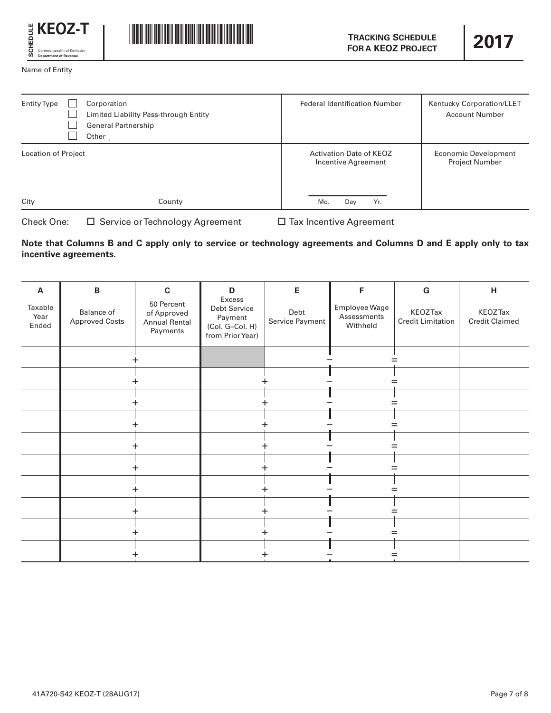



Name of Entity

| Entity Type         | Corporation<br>Limited Liability Pass-through Entity<br><b>General Partnership</b><br>Other | <b>Federal Identification Number</b>           | Kentucky Corporation/LLET<br><b>Account Number</b> |
|---------------------|---------------------------------------------------------------------------------------------|------------------------------------------------|----------------------------------------------------|
| Location of Project |                                                                                             | Activation Date of KEOZ<br>Incentive Agreement | Economic Development<br><b>Project Number</b>      |
| City                | County                                                                                      | Mo.<br>Yr.<br>Day                              |                                                    |

Check One:  $\Box$  Service or Technology Agreement  $\Box$  Tax Incentive Agreement

# **Note that Columns B and C apply only to service or technology agreements and Columns D and E apply only to tax incentive agreements.**

| A                        | $\, {\bf B}$                        | $\mathbf c$                                                   | D                                                                        | E                       | F                                        | G                                          | H                                       |
|--------------------------|-------------------------------------|---------------------------------------------------------------|--------------------------------------------------------------------------|-------------------------|------------------------------------------|--------------------------------------------|-----------------------------------------|
| Taxable<br>Year<br>Ended | Balance of<br><b>Approved Costs</b> | 50 Percent<br>of Approved<br><b>Annual Rental</b><br>Payments | Excess<br>Debt Service<br>Payment<br>(Col. G-Col. H)<br>from Prior Year) | Debt<br>Service Payment | Employee Wage<br>Assessments<br>Withheld | <b>KEOZTax</b><br><b>Credit Limitation</b> | <b>KEOZTax</b><br><b>Credit Claimed</b> |
|                          |                                     |                                                               |                                                                          |                         |                                          |                                            |                                         |
|                          |                                     |                                                               |                                                                          |                         |                                          |                                            |                                         |
|                          |                                     |                                                               |                                                                          |                         |                                          |                                            |                                         |
|                          |                                     |                                                               |                                                                          |                         |                                          |                                            |                                         |
|                          |                                     |                                                               |                                                                          |                         |                                          |                                            |                                         |
|                          |                                     |                                                               |                                                                          |                         |                                          |                                            |                                         |
|                          |                                     |                                                               |                                                                          |                         |                                          |                                            |                                         |
|                          |                                     |                                                               |                                                                          |                         |                                          |                                            |                                         |
|                          |                                     |                                                               |                                                                          |                         |                                          |                                            |                                         |
|                          |                                     |                                                               |                                                                          |                         |                                          |                                            |                                         |